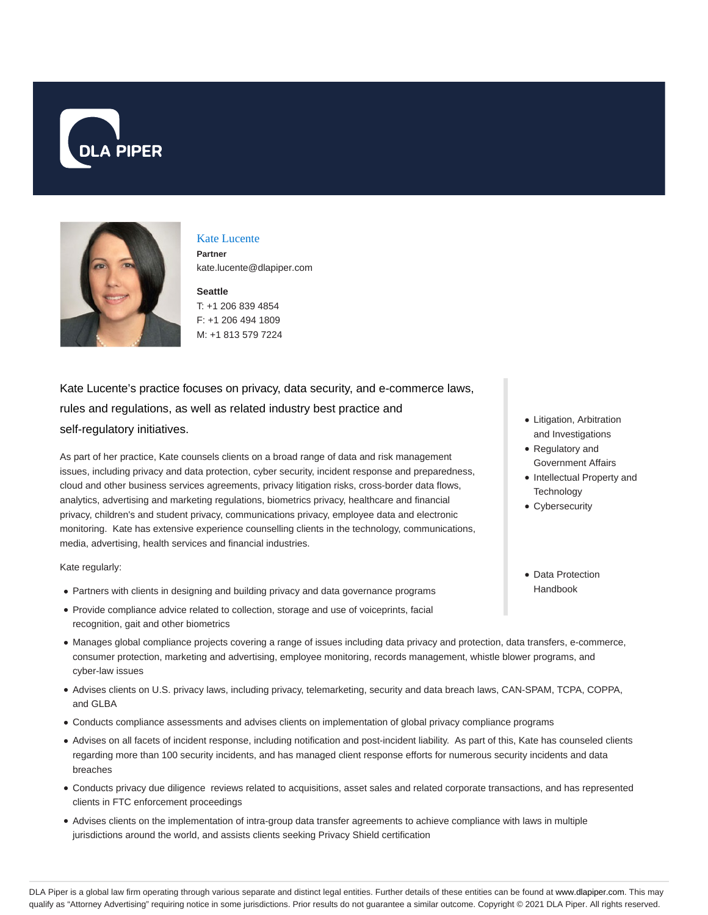



### Kate Lucente

**Partner** kate.lucente@dlapiper.com

# **Seattle**

T: +1 206 839 4854 F: +1 206 494 1809 M: +1 813 579 7224

# Kate Lucente's practice focuses on privacy, data security, and e-commerce laws, rules and regulations, as well as related industry best practice and self-regulatory initiatives.

As part of her practice, Kate counsels clients on a broad range of data and risk management issues, including privacy and data protection, cyber security, incident response and preparedness, cloud and other business services agreements, privacy litigation risks, cross-border data flows, analytics, advertising and marketing regulations, biometrics privacy, healthcare and financial privacy, children's and student privacy, communications privacy, employee data and electronic monitoring. Kate has extensive experience counselling clients in the technology, communications, media, advertising, health services and financial industries.

Kate regularly:

- Partners with clients in designing and building privacy and data governance programs
- Provide compliance advice related to collection, storage and use of voiceprints, facial recognition, gait and other biometrics
- Manages global compliance projects covering a range of issues including data privacy and protection, data transfers, e-commerce, consumer protection, marketing and advertising, employee monitoring, records management, whistle blower programs, and cyber-law issues
- Advises clients on U.S. privacy laws, including privacy, telemarketing, security and data breach laws, CAN-SPAM, TCPA, COPPA, and GLBA
- Conducts compliance assessments and advises clients on implementation of global privacy compliance programs
- Advises on all facets of incident response, including notification and post-incident liability. As part of this, Kate has counseled clients regarding more than 100 security incidents, and has managed client response efforts for numerous security incidents and data breaches
- Conducts privacy due diligence reviews related to acquisitions, asset sales and related corporate transactions, and has represented clients in FTC enforcement proceedings
- Advises clients on the implementation of intra-group data transfer agreements to achieve compliance with laws in multiple jurisdictions around the world, and assists clients seeking Privacy Shield certification
- Litigation, Arbitration and Investigations
- Regulatory and Government Affairs
- Intellectual Property and **Technology**
- Cybersecurity
- Data Protection Handbook

DLA Piper is a global law firm operating through various separate and distinct legal entities. Further details of these entities can be found at www.dlapiper.com. This may qualify as "Attorney Advertising" requiring notice in some jurisdictions. Prior results do not guarantee a similar outcome. Copyright @ 2021 DLA Piper. All rights reserved.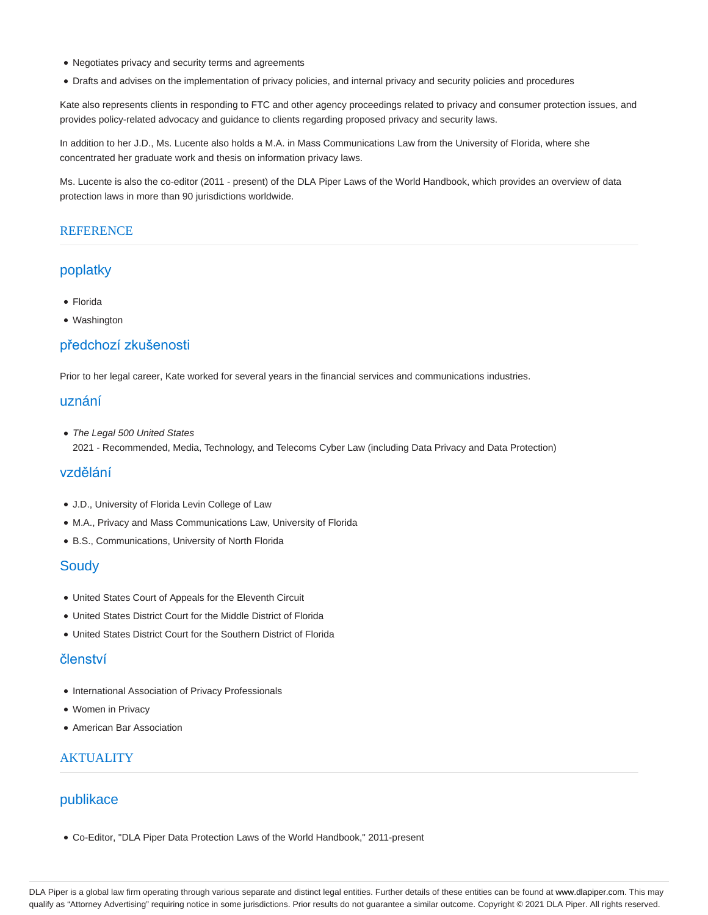- Negotiates privacy and security terms and agreements
- Drafts and advises on the implementation of privacy policies, and internal privacy and security policies and procedures

Kate also represents clients in responding to FTC and other agency proceedings related to privacy and consumer protection issues, and provides policy-related advocacy and guidance to clients regarding proposed privacy and security laws.

In addition to her J.D., Ms. Lucente also holds a M.A. in Mass Communications Law from the University of Florida, where she concentrated her graduate work and thesis on information privacy laws.

Ms. Lucente is also the co-editor (2011 - present) of the DLA Piper Laws of the World Handbook, which provides an overview of data protection laws in more than 90 jurisdictions worldwide.

#### **REFERENCE**

### poplatky

- Florida
- Washington

#### předchozí zkušenosti

Prior to her legal career, Kate worked for several years in the financial services and communications industries.

### uznání

• The Legal 500 United States 2021 - Recommended, Media, Technology, and Telecoms Cyber Law (including Data Privacy and Data Protection)

#### vzdělání

- J.D., University of Florida Levin College of Law
- M.A., Privacy and Mass Communications Law, University of Florida
- B.S., Communications, University of North Florida

#### **Soudy**

- United States Court of Appeals for the Eleventh Circuit
- United States District Court for the Middle District of Florida
- United States District Court for the Southern District of Florida

#### členství

- International Association of Privacy Professionals
- Women in Privacy
- American Bar Association

## **AKTUALITY**

### publikace

Co-Editor, "DLA Piper Data Protection Laws of the World Handbook," 2011-present

DLA Piper is a global law firm operating through various separate and distinct legal entities. Further details of these entities can be found at www.dlapiper.com. This may qualify as "Attorney Advertising" requiring notice in some jurisdictions. Prior results do not guarantee a similar outcome. Copyright © 2021 DLA Piper. All rights reserved.